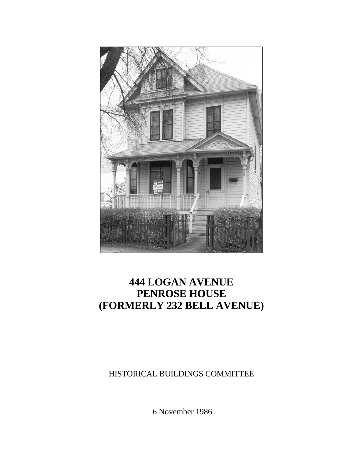

# **444 LOGAN AVENUE PENROSE HOUSE (FORMERLY 232 BELL AVENUE)**

HISTORICAL BUILDINGS COMMITTEE

6 November 1986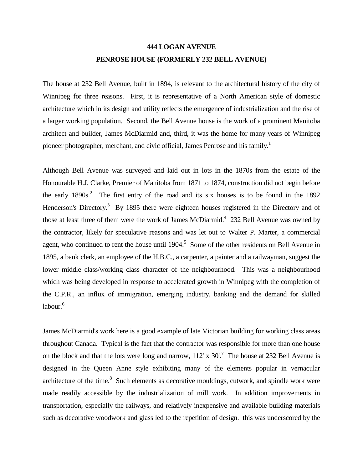# **444 LOGAN AVENUE PENROSE HOUSE (FORMERLY 232 BELL AVENUE)**

The house at 232 Bell Avenue, built in 1894, is relevant to the architectural history of the city of Winnipeg for three reasons. First, it is representative of a North American style of domestic architecture which in its design and utility reflects the emergence of industrialization and the rise of a larger working population. Second, the Bell Avenue house is the work of a prominent Manitoba architect and builder, James McDiarmid and, third, it was the home for many years of Winnipeg pioneer photographer, merchant, and civic official, James Penrose and his family.<sup>1</sup>

Although Bell Avenue was surveyed and laid out in lots in the 1870s from the estate of the Honourable H.J. Clarke, Premier of Manitoba from 1871 to 1874, construction did not begin before the early  $1890s^2$ . The first entry of the road and its six houses is to be found in the 1892 Henderson's Directory.<sup>3</sup> By 1895 there were eighteen houses registered in the Directory and of those at least three of them were the work of James McDiarmid.<sup>4</sup> 232 Bell Avenue was owned by the contractor, likely for speculative reasons and was let out to Walter P. Marter, a commercial agent, who continued to rent the house until  $1904$ .<sup>5</sup> Some of the other residents on Bell Avenue in 1895, a bank clerk, an employee of the H.B.C., a carpenter, a painter and a railwayman, suggest the lower middle class/working class character of the neighbourhood. This was a neighbourhood which was being developed in response to accelerated growth in Winnipeg with the completion of the C.P.R., an influx of immigration, emerging industry, banking and the demand for skilled labour. $6$ 

James McDiarmid's work here is a good example of late Victorian building for working class areas throughout Canada. Typical is the fact that the contractor was responsible for more than one house on the block and that the lots were long and narrow,  $112' \times 30'$ .<sup>7</sup> The house at 232 Bell Avenue is designed in the Queen Anne style exhibiting many of the elements popular in vernacular architecture of the time.<sup>8</sup> Such elements as decorative mouldings, cutwork, and spindle work were made readily accessible by the industrialization of mill work. In addition improvements in transportation, especially the railways, and relatively inexpensive and available building materials such as decorative woodwork and glass led to the repetition of design. this was underscored by the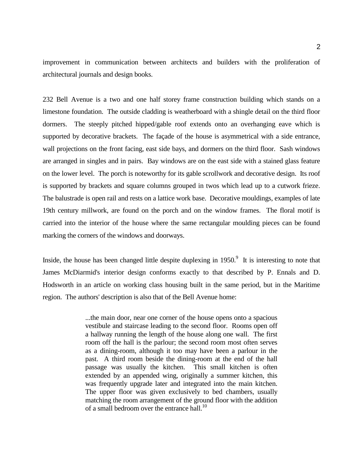improvement in communication between architects and builders with the proliferation of architectural journals and design books.

232 Bell Avenue is a two and one half storey frame construction building which stands on a limestone foundation. The outside cladding is weatherboard with a shingle detail on the third floor dormers. The steeply pitched hipped/gable roof extends onto an overhanging eave which is supported by decorative brackets. The façade of the house is asymmetrical with a side entrance, wall projections on the front facing, east side bays, and dormers on the third floor. Sash windows are arranged in singles and in pairs. Bay windows are on the east side with a stained glass feature on the lower level. The porch is noteworthy for its gable scrollwork and decorative design. Its roof is supported by brackets and square columns grouped in twos which lead up to a cutwork frieze. The balustrade is open rail and rests on a lattice work base. Decorative mouldings, examples of late 19th century millwork, are found on the porch and on the window frames. The floral motif is carried into the interior of the house where the same rectangular moulding pieces can be found marking the corners of the windows and doorways.

Inside, the house has been changed little despite duplexing in  $1950$ .<sup>9</sup> It is interesting to note that James McDiarmid's interior design conforms exactly to that described by P. Ennals and D. Hodsworth in an article on working class housing built in the same period, but in the Maritime region. The authors' description is also that of the Bell Avenue home:

> ...the main door, near one corner of the house opens onto a spacious vestibule and staircase leading to the second floor. Rooms open off a hallway running the length of the house along one wall. The first room off the hall is the parlour; the second room most often serves as a dining-room, although it too may have been a parlour in the past. A third room beside the dining-room at the end of the hall passage was usually the kitchen. This small kitchen is often extended by an appended wing, originally a summer kitchen, this was frequently upgrade later and integrated into the main kitchen. The upper floor was given exclusively to bed chambers, usually matching the room arrangement of the ground floor with the addition of a small bedroom over the entrance hall.<sup>10</sup>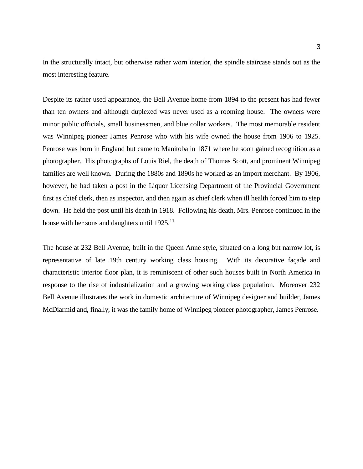In the structurally intact, but otherwise rather worn interior, the spindle staircase stands out as the most interesting feature.

Despite its rather used appearance, the Bell Avenue home from 1894 to the present has had fewer than ten owners and although duplexed was never used as a rooming house. The owners were minor public officials, small businessmen, and blue collar workers. The most memorable resident was Winnipeg pioneer James Penrose who with his wife owned the house from 1906 to 1925. Penrose was born in England but came to Manitoba in 1871 where he soon gained recognition as a photographer. His photographs of Louis Riel, the death of Thomas Scott, and prominent Winnipeg families are well known. During the 1880s and 1890s he worked as an import merchant. By 1906, however, he had taken a post in the Liquor Licensing Department of the Provincial Government first as chief clerk, then as inspector, and then again as chief clerk when ill health forced him to step down. He held the post until his death in 1918. Following his death, Mrs. Penrose continued in the house with her sons and daughters until  $1925$ .<sup>11</sup>

The house at 232 Bell Avenue, built in the Queen Anne style, situated on a long but narrow lot, is representative of late 19th century working class housing. With its decorative façade and characteristic interior floor plan, it is reminiscent of other such houses built in North America in response to the rise of industrialization and a growing working class population. Moreover 232 Bell Avenue illustrates the work in domestic architecture of Winnipeg designer and builder, James McDiarmid and, finally, it was the family home of Winnipeg pioneer photographer, James Penrose.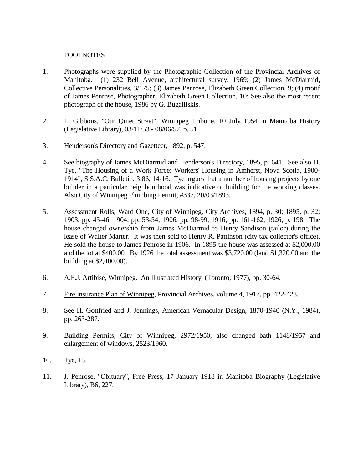### FOOTNOTES

- 1. Photographs were supplied by the Photographic Collection of the Provincial Archives of Manitoba. (1) 232 Bell Avenue, architectural survey, 1969; (2) James McDiarmid, Collective Personalities, 3/175; (3) James Penrose, Elizabeth Green Collection, 9; (4) motif of James Penrose, Photographer, Elizabeth Green Collection, 10; See also the most recent photograph of the house, 1986 by G. Bugailiskis.
- 2. L. Gibbons, "Our Quiet Street", Winnipeg Tribune, 10 July 1954 in Manitoba History (Legislative Library), 03/11/53 - 08/06/57, p. 51.
- 3. Henderson's Directory and Gazetteer, 1892, p. 547.
- 4. See biography of James McDiarmid and Henderson's Directory, 1895, p. 641. See also D. Tye, "The Housing of a Work Force: Workers' Housing in Amherst, Nova Scotia, 1900- 1914", S.S.A.C. Bulletin, 3:86, 14-16. Tye argues that a number of housing projects by one builder in a particular neighbourhood was indicative of building for the working classes. Also City of Winnipeg Plumbing Permit, #337, 20/03/1893.
- 5. Assessment Rolls, Ward One, City of Winnipeg, City Archives, 1894, p. 30; 1895, p. 32; 1903, pp. 45-46; 1904, pp. 53-54; 1906, pp. 98-99; 1916, pp. 161-162; 1926, p. 198. The house changed ownership from James McDiarmid to Henry Sandison (tailor) during the lease of Walter Marter. It was then sold to Henry R. Pattinson (city tax collector's office). He sold the house to James Penrose in 1906. In 1895 the house was assessed at \$2,000.00 and the lot at \$400.00. By 1926 the total assessment was \$3,720.00 (land \$1,320.00 and the building at \$2,400.00).
- 6. A.F.J. Artibise, Winnipeg. An Illustrated History, (Toronto, 1977), pp. 30-64.
- 7. Fire Insurance Plan of Winnipeg, Provincial Archives, volume 4, 1917, pp. 422-423.
- 8. See H. Gottfried and J. Jennings, American Vernacular Design, 1870-1940 (N.Y., 1984), pp. 263-287.
- 9. Building Permits, City of Winnipeg, 2972/1950, also changed bath 1148/1957 and enlargement of windows, 2523/1960.
- 10. Tye, 15.
- 11. J. Penrose, "Obituary", Free Press, 17 January 1918 in Manitoba Biography (Legislative Library), B6, 227.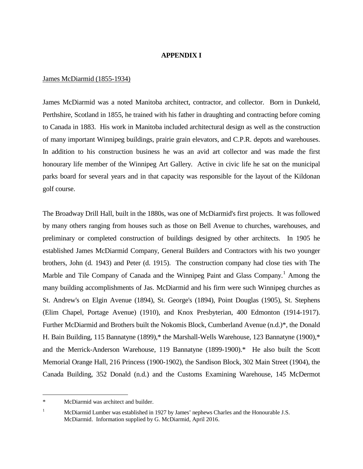#### **APPENDIX I**

#### James McDiarmid (1855-1934)

James McDiarmid was a noted Manitoba architect, contractor, and collector. Born in Dunkeld, Perthshire, Scotland in 1855, he trained with his father in draughting and contracting before coming to Canada in 1883. His work in Manitoba included architectural design as well as the construction of many important Winnipeg buildings, prairie grain elevators, and C.P.R. depots and warehouses. In addition to his construction business he was an avid art collector and was made the first honourary life member of the Winnipeg Art Gallery. Active in civic life he sat on the municipal parks board for several years and in that capacity was responsible for the layout of the Kildonan golf course.

The Broadway Drill Hall, built in the 1880s, was one of McDiarmid's first projects. It was followed by many others ranging from houses such as those on Bell Avenue to churches, warehouses, and preliminary or completed construction of buildings designed by other architects. In 1905 he established James McDiarmid Company, General Builders and Contractors with his two younger brothers, John (d. 1943) and Peter (d. 1915). The construction company had close ties with The Marble and Tile Company of Canada and the Winnipeg Paint and Glass Company.<sup>[1](#page-5-0)</sup> Among the many building accomplishments of Jas. McDiarmid and his firm were such Winnipeg churches as St. Andrew's on Elgin Avenue (1894), St. George's (1894), Point Douglas (1905), St. Stephens (Elim Chapel, Portage Avenue) (1910), and Knox Presbyterian, 400 Edmonton (1914-1917). Further McDiarmid and Brothers built the Nokomis Block, Cumberland Avenue (n.d.)\*, the Donald H. Bain Building, 115 Bannatyne (1899),\* the Marshall-Wells Warehouse, 123 Bannatyne (1900),\* and the Merrick-Anderson Warehouse, 119 Bannatyne (1899-1900).\* He also built the Scott Memorial Orange Hall, 216 Princess (1900-1902), the Sandison Block, 302 Main Street (1904), the Canada Building, 352 Donald (n.d.) and the Customs Examining Warehouse, 145 McDermot

 $\overline{a}$ 

<span id="page-5-0"></span><sup>\*</sup> McDiarmid was architect and builder.

<sup>&</sup>lt;sup>1</sup> McDiarmid Lumber was established in 1927 by James' nephews Charles and the Honourable J.S. McDiarmid. Information supplied by G. McDiarmid, April 2016.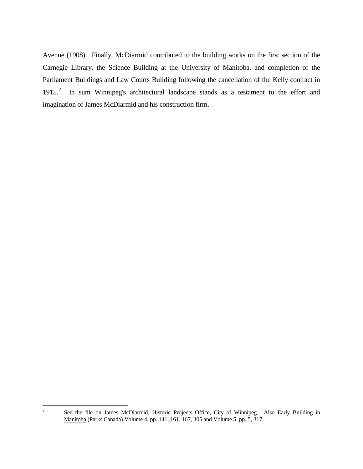Avenue (1908). Finally, McDiarmid contributed to the building works on the first section of the Carnegie Library, the Science Building at the University of Manitoba, and completion of the Parliament Buildings and Law Courts Building following the cancellation of the Kelly contract in 1915.<sup>[2](#page-6-0)</sup> In sum Winnipeg's architectural landscape stands as a testament to the effort and imagination of James McDiarmid and his construction firm.

<span id="page-6-0"></span> $\overline{c}$ 

See the file on James McDiarmid, Historic Projects Office, City of Winnipeg. Also Early Building in Manitoba (Parks Canada) Volume 4, pp. 141, 161, 167, 305 and Volume 5, pp. 5, 317.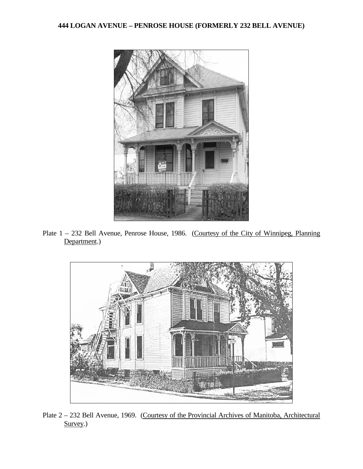## **444 LOGAN AVENUE – PENROSE HOUSE (FORMERLY 232 BELL AVENUE)**



Plate  $1 - 232$  Bell Avenue, Penrose House, 1986. (Courtesy of the City of Winnipeg, Planning Department.)



Plate 2 – 232 Bell Avenue, 1969. (Courtesy of the Provincial Archives of Manitoba, Architectural Survey.)